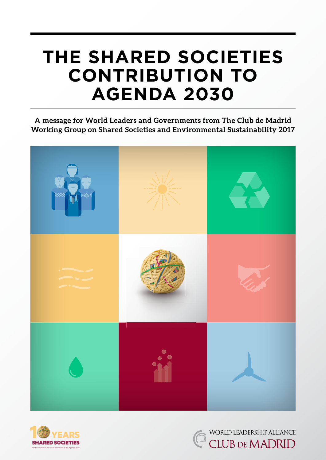# **the Shared Societies contribution to Agenda 2030**

**A message for World Leaders and Governments from The Club de Madrid Working Group on Shared Societies and Environmental Sustainability 2017**





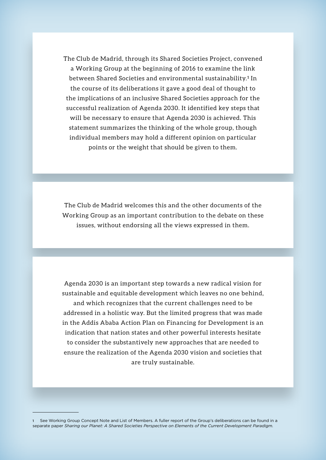The Club de Madrid, through its Shared Societies Project, convened a Working Group at the beginning of 2016 to examine the link between Shared Societies and environmental sustainability.**<sup>1</sup>** In the course of its deliberations it gave a good deal of thought to the implications of an inclusive Shared Societies approach for the successful realization of Agenda 2030. It identified key steps that will be necessary to ensure that Agenda 2030 is achieved. This statement summarizes the thinking of the whole group, though individual members may hold a different opinion on particular points or the weight that should be given to them.

The Club de Madrid welcomes this and the other documents of the Working Group as an important contribution to the debate on these issues, without endorsing all the views expressed in them.

Agenda 2030 is an important step towards a new radical vision for sustainable and equitable development which leaves no one behind, and which recognizes that the current challenges need to be addressed in a holistic way. But the limited progress that was made in the Addis Ababa Action Plan on Financing for Development is an indication that nation states and other powerful interests hesitate to consider the substantively new approaches that are needed to ensure the realization of the Agenda 2030 vision and societies that are truly sustainable.

<sup>1</sup> See Working Group Concept Note and List of Members. A fuller report of the Group's deliberations can be found in a separate paper *Sharing our Planet: A Shared Societies Perspective on Elements of the Current Development Paradigm.*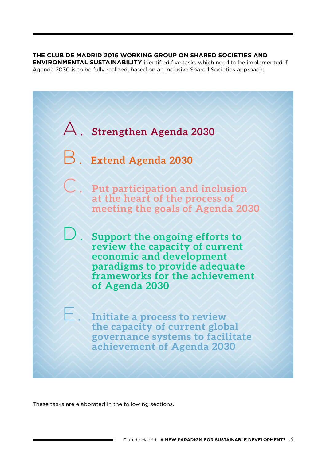**The Club de Madrid 2016 Working Group on Shared Societies and ENVIRONMENTAL SUSTAINABILITY** identified five tasks which need to be implemented if Agenda 2030 is to be fully realized, based on an inclusive Shared Societies approach:



These tasks are elaborated in the following sections.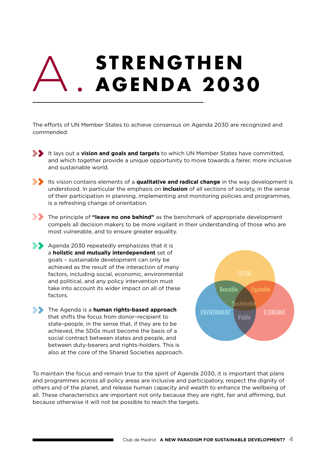## **STRENGTHEN Agenda 2030** A.i

The efforts of UN Member States to achieve consensus on Agenda 2030 are recognized and commended:

- It lays out a **vision and goals and targets** to which UN Member States have committed, and which together provide a unique opportunity to move towards a fairer, more inclusive and sustainable world.
- Its vision contains elements of a **qualitative and radical change** in the way development is understood. In particular the emphasis on **inclusion** of all sections of society, in the sense of their participation in planning, implementing and monitoring policies and programmes, is a refreshing change of orientation.
- **The principle of "leave no one behind"** as the benchmark of appropriate development compels all decision makers to be more vigilant in their understanding of those who are most vulnerable, and to ensure greater equality.
- Agenda 2030 repeatedly emphasizes that it is a **holistic and mutually interdependent** set of goals – sustainable development can only be achieved as the result of the interaction of many factors, including social, economic, environmental and political, and any policy intervention must take into account its wider impact on all of these factors.
- **The Agenda is a human rights-based approach** that shifts the focus from donor–recipient to state–people, in the sense that, if they are to be achieved, the SDGs must become the basis of a social contract between states and people, and between duty-bearers and rights-holders. This is also at the core of the Shared Societies approach.



To maintain the focus and remain true to the spirit of Agenda 2030, it is important that plans and programmes across all policy areas are inclusive and participatory, respect the dignity of others and of the planet, and release human capacity and wealth to enhance the wellbeing of all. These characteristics are important not only because they are right, fair and affirming, but because otherwise it will not be possible to reach the targets.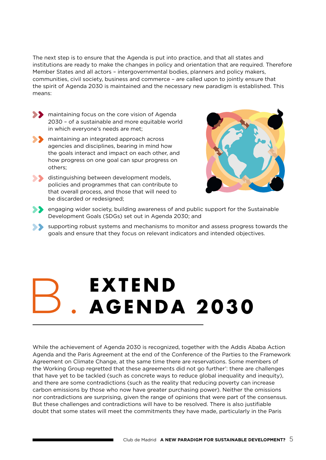The next step is to ensure that the Agenda is put into practice, and that all states and institutions are ready to make the changes in policy and orientation that are required. Therefore Member States and all actors – intergovernmental bodies, planners and policy makers, communities, civil society, business and commerce – are called upon to jointly ensure that the spirit of Agenda 2030 is maintained and the necessary new paradigm is established. This means:

- **SEP** maintaining focus on the core vision of Agenda 2030 – of a sustainable and more equitable world in which everyone's needs are met;
- **Solution** maintaining an integrated approach across agencies and disciplines, bearing in mind how the goals interact and impact on each other, and how progress on one goal can spur progress on others;
- distinguishing between development models, policies and programmes that can contribute to that overall process, and those that will need to be discarded or redesigned;



- **S** engaging wider society, building awareness of and public support for the Sustainable Development Goals (SDGs) set out in Agenda 2030; and
- supporting robust systems and mechanisms to monitor and assess progress towards the goals and ensure that they focus on relevant indicators and intended objectives.

## **Extend Agenda 2030** B.

While the achievement of Agenda 2030 is recognized, together with the Addis Ababa Action Agenda and the Paris Agreement at the end of the Conference of the Parties to the Framework Agreement on Climate Change, at the same time there are reservations. Some members of the Working Group regretted that these agreements did not go further': there are challenges that have yet to be tackled (such as concrete ways to reduce global inequality and inequity), and there are some contradictions (such as the reality that reducing poverty can increase carbon emissions by those who now have greater purchasing power). Neither the omissions nor contradictions are surprising, given the range of opinions that were part of the consensus. But these challenges and contradictions will have to be resolved. There is also justifiable doubt that some states will meet the commitments they have made, particularly in the Paris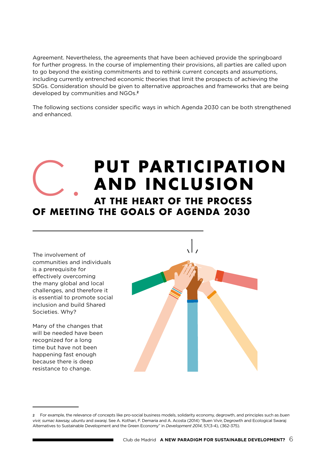Agreement. Nevertheless, the agreements that have been achieved provide the springboard for further progress. In the course of implementing their provisions, all parties are called upon to go beyond the existing commitments and to rethink current concepts and assumptions, including currently entrenched economic theories that limit the prospects of achieving the SDGs. Consideration should be given to alternative approaches and frameworks that are being developed by communities and NGOs.**<sup>2</sup>**

The following sections consider specific ways in which Agenda 2030 can be both strengthened and enhanced.

#### **PUT PARTICIPATION and inclusion at the heart of the process of meeting the goals of Agenda 2030** C.

The involvement of communities and individuals is a prerequisite for effectively overcoming the many global and local challenges, and therefore it is essential to promote social inclusion and build Shared Societies. Why?

Many of the changes that will be needed have been recognized for a long time but have not been happening fast enough because there is deep resistance to change.

<sup>2</sup> For example, the relevance of concepts like pro-social business models, solidarity economy, degrowth, and principles such as *buen vivir, sumac kawsay, ubuntu* and *swaraj*. See A. Kothari, F. Demaria and A. Acosta (2014) "Buen Vivir, Degrowth and Ecological Swaraj: Alternatives to Sustainable Development and the Green Economy" in *Development 2014*, 57(3-4), (362-375).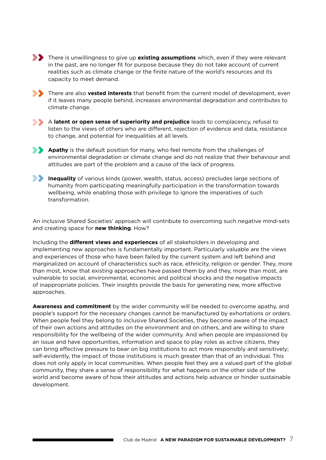**There is unwillingness to give up existing assumptions** which, even if they were relevant in the past, are no longer fit for purpose because they do not take account of current realities such as climate change or the finite nature of the world's resources and its capacity to meet demand.



**There are also <b>vested interests** that benefit from the current model of development, even if it leaves many people behind, increases environmental degradation and contributes to climate change.



A **latent or open sense of superiority and prejudice** leads to complacency, refusal to listen to the views of others who are different, rejection of evidence and data, resistance to change, and potential for inequalities at all levels.



**Apathy** is the default position for many, who feel remote from the challenges of environmental degradation or climate change and do not realize that their behaviour and attitudes are part of the problem and a cause of the lack of progress.



**Inequality** of various kinds (power, wealth, status, access) precludes large sections of humanity from participating meaningfully participation in the transformation towards wellbeing, while enabling those with privilege to ignore the imperatives of such transformation.

An inclusive Shared Societies' approach will contribute to overcoming such negative mind-sets and creating space for **new thinking**. How?

Including the **different views and experiences** of all stakeholders in developing and implementing new approaches is fundamentally important. Particularly valuable are the views and experiences of those who have been failed by the current system and left behind and marginalized on account of characteristics such as race, ethnicity, religion or gender. They, more than most, know that existing approaches have passed them by and they, more than most, are vulnerable to social, environmental, economic and political shocks and the negative impacts of inappropriate policies. Their insights provide the basis for generating new, more effective approaches.

**Awareness and commitment** by the wider community will be needed to overcome apathy, and people's support for the necessary changes cannot be manufactured by exhortations or orders. When people feel they belong to inclusive Shared Societies, they become aware of the impact of their own actions and attitudes on the environment and on others, and are willing to share responsibility for the wellbeing of the wider community. And when people are impassioned by an issue and have opportunities, information and space to play roles as active citizens, they can bring effective pressure to bear on big institutions to act more responsibly and sensitively; self-evidently, the impact of those institutions is much greater than that of an individual. This does not only apply in local communities. When people feel they are a valued part of the global community, they share a sense of responsibility for what happens on the other side of the world and become aware of how their attitudes and actions help advance or hinder sustainable development.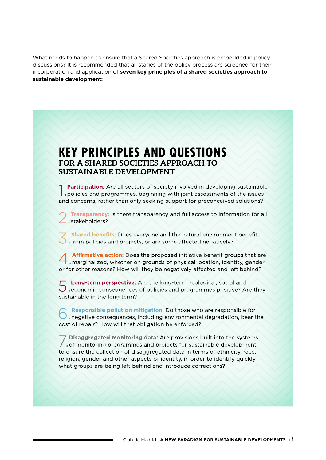What needs to happen to ensure that a Shared Societies approach is embedded in policy discussions? It is recommended that all stages of the policy process are screened for their incorporation and application of **seven key principles of a shared societies approach to sustainable development:**

#### **KEY PRINCIPLES AND QUESTIONS** FOR A SHARED SOCIETIES APPROACH TO **SUSTAINABLE DEVELOPMENT**

**Participation:** Are all sectors of society involved in developing sustainable policies and programmes, beginning with joint assessments of the issues and concerns, rather than only seeking support for preconceived solutions?

Transparency: Is there transparency and full access to information for all stakeholders?

Shared benefits: Does everyone and the natural environment benefit Ifrom policies and projects, or are some affected negatively?

Affirmative action: Does the proposed initiative benefit groups that are . marginalized, whether on grounds of physical location, identity, gender or for other reasons? How will they be negatively affected and left behind?

Long-term perspective: Are the long-term ecological, social and  $\bigcup$  economic consequences of policies and programmes positive? Are they sustainable in the long term?

Responsible pollution mitigation: Do those who are responsible for **C** responsible point in integration. Do those who are responsible for cost of repair? How will that obligation be enforced?

Disaggregated monitoring data: Are provisions built into the systems of monitoring programmes and projects for sustainable development to ensure the collection of disaggregated data in terms of ethnicity, race, religion, gender and other aspects of identity, in order to identify quickly what groups are being left behind and introduce corrections?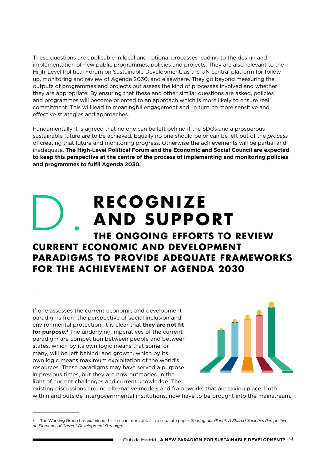These questions are applicable in local and national processes leading to the design and implementation of new public programmes, policies and projects. They are also relevant to the High-Level Political Forum on Sustainable Development, as the UN central platform for followup, monitoring and review of Agenda 2030, and elsewhere. They go beyond measuring the outputs of programmes and projects but assess the kind of processes involved and whether they are appropriate. By ensuring that these and other similar questions are asked, policies and programmes will become oriented to an approach which is more likely to ensure real commitment. This will lead to meaningful engagement and, in turn, to more sensitive and effective strategies and approaches.

Fundamentally it is agreed that no one can be left behind if the SDGs and a prosperous sustainable future are to be achieved. Equally no one should be or can be left out of the *process* of creating that future and monitoring progress. Otherwise the achievements will be partial and inadequate. **The High-Level Political Forum and the Economic and Social Council are expected to keep this perspective at the centre of the process of implementing and monitoring policies and programmes to fulfil Agenda 2030.**

# **RECOGNIZE AND SUPPORT**

### **the ongoing efforts to review current economic and development paradigms to provide adequate frameworks for the achievement of Agenda 2030** D.

If one assesses the current economic and development paradigms from the perspective of social inclusion and environmental protection, it is clear that **they are not fit for purpose**. **<sup>3</sup>** The underlying imperatives of the current paradigm are competition between people and between states, which by its own logic means that some, or many, will be left behind; and growth, which by its own logic means maximum exploitation of the world's resources. These paradigms may have served a purpose in previous times, but they are now outmoded in the light of current challenges and current knowledge. The



existing discussions around alternative models and frameworks that are taking place, both within and outside intergovernmental institutions, now have to be brought into the mainstream.

<sup>3</sup> The Working Group has examined this issue in more detail in a separate paper, *Sharing our Planet: A Shared Societies Perspective on Elements of Current Development Paradigm.*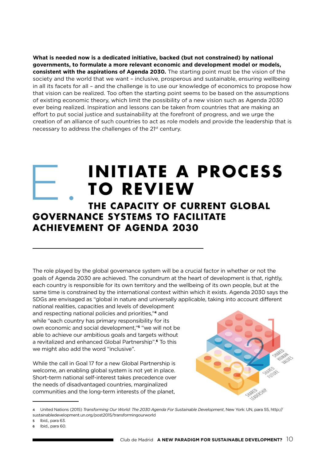**What is needed now is a dedicated initiative, backed (but not constrained) by national governments, to formulate a more relevant economic and development model or models, consistent with the aspirations of Agenda 2030.** The starting point must be the vision of the society and the world that we want – inclusive, prosperous and sustainable, ensuring wellbeing in all its facets for all – and the challenge is to use our knowledge of economics to propose how that vision can be realized. Too often the starting point seems to be based on the assumptions of existing economic theory, which limit the possibility of a new vision such as Agenda 2030 ever being realized. Inspiration and lessons can be taken from countries that are making an effort to put social justice and sustainability at the forefront of progress, and we urge the creation of an alliance of such countries to act as role models and provide the leadership that is necessary to address the challenges of the 21<sup>st</sup> century.

## **Initiate a process TO REVIEW** E.

#### **the capacity of current global governance systems to facilitate achievement of Agenda 2030**

The role played by the global governance system will be a crucial factor in whether or not the goals of Agenda 2030 are achieved. The conundrum at the heart of development is that, rightly, each country is responsible for its own territory and the wellbeing of its own people, but at the same time is constrained by the international context within which it exists. Agenda 2030 says the SDGs are envisaged as "global in nature and universally applicable, taking into account different

national realities, capacities and levels of development and respecting national policies and priorities,"**4** and while "each country has primary responsibility for its own economic and social development,"**5** "we will not be able to achieve our ambitious goals and targets without a revitalized and enhanced Global Partnership".**6** To this we might also add the word "inclusive".

While the call in Goal 17 for a new Global Partnership is welcome, an enabling global system is not yet in place. Short-term national self-interest takes precedence over the needs of disadvantaged countries, marginalized communities and the long-term interests of the planet,



<sup>4</sup> United Nations (2015) *Transforming Our World: The 2030 Agenda For Sustainable Development*, New York: UN, para 55, [http://](http://sustainabledevelopment.un.org/post2015/transformingourworld) [sustainabledevelopment.un.org/post2015/transformingourworld](http://sustainabledevelopment.un.org/post2015/transformingourworld) 

<sup>5</sup> Ibid., para 63.

Ibid., para 60.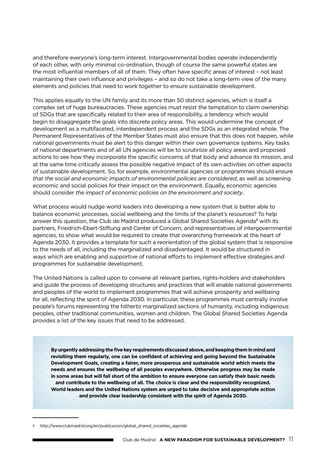and therefore everyone's long-term interest. Intergovernmental bodies operate independently of each other, with only minimal co-ordination, though of course the same powerful states are the most influential members of all of them. They often have specific areas of interest – not least maintaining their own influence and privileges – and so do not take a long-term view of the many elements and policies that need to work together to ensure sustainable development.

This applies equally to the UN family and its more than 50 distinct agencies, which is itself a complex set of huge bureaucracies. These agencies must resist the temptation to claim ownership of SDGs that are specifically related to their area of responsibility, a tendency which would begin to disaggregate the goals into discrete policy areas. This would undermine the concept of development as a multifaceted, interdependent process and the SDGs as an integrated whole. The Permanent Representatives of the Member States must also ensure that this does not happen, while national governments must be alert to this danger within their own governance systems. Key tasks of national departments and of all UN agencies will be to scrutinize all policy areas and proposed actions to see how they incorporate the specific concerns of that body and advance its mission, and at the same time critically assess the possible negative impact of its own activities on other aspects of sustainable development. So, for example, environmental agencies or programmes should *ensure that the social and economic impacts of environmental policies are considered*, as well as screening economic and social policies for their impact on the environment. Equally, economic agencies should consider *the impact of economic policies on the environment and society*.

What process would nudge world leaders into developing a new system that is better able to balance economic processes, social wellbeing and the limits of the planet's resources? To help answer this question, the Club de Madrid produced a Global Shared Societies Agenda**7** with its partners, Friedrich-Ebert-Stiftung and Center of Concern, and representatives of intergovernmental agencies, to show what would be required to create that overarching framework at the heart of Agenda 2030. It provides a template for such a reorientation of the global system that is responsive to the needs of all, including the marginalized and disadvantaged. It would be structured in ways which are enabling and supportive of national efforts to implement effective strategies and programmes for sustainable development.

The United Nations is called upon to convene all relevant parties, rights-holders and stakeholders and guide the process of developing structures and practices that will enable national governments and peoples of the world to implement programmes that will achieve prosperity and wellbeing for all, reflecting the spirit of Agenda 2030. In particular, these programmes must centrally involve people's forums representing the hitherto marginalized sections of humanity, including indigenous peoples, other traditional communities, women and children. The Global Shared Societies Agenda provides a list of the key issues that need to be addressed.

**By urgently addressing the five key requirements discussed above, and keeping them in mind and revisiting them regularly, one can be confident of achieving and going beyond the Sustainable Development Goals, creating a fairer, more prosperous and sustainable world which meets the needs and ensures the wellbeing of all peoples everywhere. Otherwise progress may be made in some areas but will fall short of the ambition to ensure everyone can satisfy their basic needs and contribute to the wellbeing of all. The choice is clear and the responsibility recognized. World leaders and the United Nations system are urged to take decisive and appropriate action and provide clear leadership consistent with the spirit of Agenda 2030.**

<sup>7</sup> http://www.clubmadrid.org/en/publicacion/global\_shared\_societies\_agenda